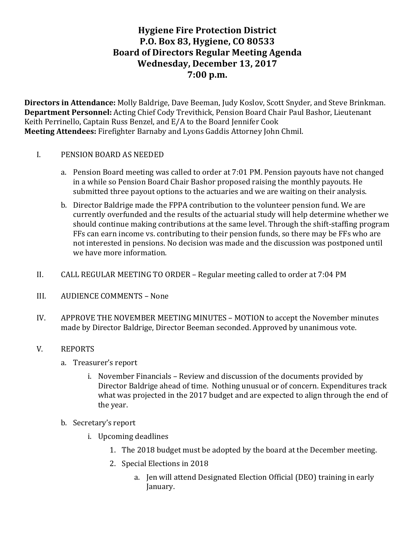# **Hygiene Fire Protection District P.O. Box 83, Hygiene, CO 80533 Board of Directors Regular Meeting Agenda** Wednesday, December 13, 2017 **7:00 p.m.**

**Directors in Attendance:** Molly Baldrige, Dave Beeman, Judy Koslov, Scott Snyder, and Steve Brinkman. **Department Personnel:** Acting Chief Cody Trevithick, Pension Board Chair Paul Bashor, Lieutenant Keith Perrinello, Captain Russ Benzel, and E/A to the Board Jennifer Cook **Meeting Attendees:** Firefighter Barnaby and Lyons Gaddis Attorney John Chmil.

### I. PENSION BOARD AS NEEDED

- a. Pension Board meeting was called to order at 7:01 PM. Pension payouts have not changed in a while so Pension Board Chair Bashor proposed raising the monthly payouts. He submitted three payout options to the actuaries and we are waiting on their analysis.
- b. Director Baldrige made the FPPA contribution to the volunteer pension fund. We are currently overfunded and the results of the actuarial study will help determine whether we should continue making contributions at the same level. Through the shift-staffing program FFs can earn income vs. contributing to their pension funds, so there may be FFs who are not interested in pensions. No decision was made and the discussion was postponed until we have more information.
- II. CALL REGULAR MEETING TO ORDER Regular meeting called to order at 7:04 PM
- III. AUDIENCE COMMENTS None
- IV. APPROVE THE NOVEMBER MEETING MINUTES MOTION to accept the November minutes made by Director Baldrige, Director Beeman seconded. Approved by unanimous vote.

#### V. REPORTS

- a. Treasurer's report
	- i. November Financials Review and discussion of the documents provided by Director Baldrige ahead of time. Nothing unusual or of concern. Expenditures track what was projected in the 2017 budget and are expected to align through the end of the year.
- b. Secretary's report
	- i. Upcoming deadlines
		- 1. The 2018 budget must be adopted by the board at the December meeting.
		- 2. Special Elections in 2018
			- a. Jen will attend Designated Election Official (DEO) training in early January.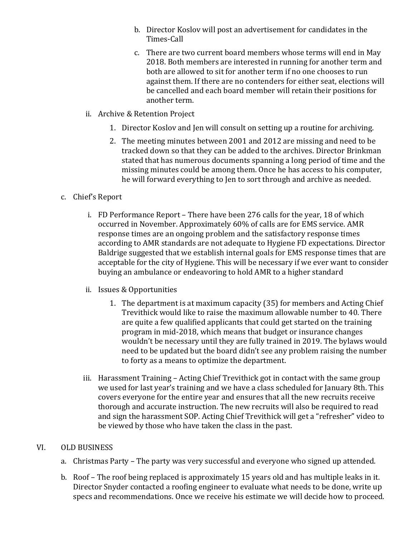- b. Director Koslov will post an advertisement for candidates in the Times-Call
- c. There are two current board members whose terms will end in May 2018. Both members are interested in running for another term and both are allowed to sit for another term if no one chooses to run against them. If there are no contenders for either seat, elections will be cancelled and each board member will retain their positions for another term.
- ii. Archive & Retention Project
	- 1. Director Koslov and Jen will consult on setting up a routine for archiving.
	- 2. The meeting minutes between 2001 and 2012 are missing and need to be tracked down so that they can be added to the archives. Director Brinkman stated that has numerous documents spanning a long period of time and the missing minutes could be among them. Once he has access to his computer, he will forward everything to Jen to sort through and archive as needed.

# c. Chief's Report

- i. FD Performance Report There have been 276 calls for the year, 18 of which occurred in November. Approximately 60% of calls are for EMS service. AMR response times are an ongoing problem and the satisfactory response times according to AMR standards are not adequate to Hygiene FD expectations. Director Baldrige suggested that we establish internal goals for EMS response times that are acceptable for the city of Hygiene. This will be necessary if we ever want to consider buying an ambulance or endeavoring to hold AMR to a higher standard
- ii. Issues & Opportunities
	- 1. The department is at maximum capacity (35) for members and Acting Chief Trevithick would like to raise the maximum allowable number to 40. There are quite a few qualified applicants that could get started on the training program in mid-2018, which means that budget or insurance changes wouldn't be necessary until they are fully trained in 2019. The bylaws would need to be updated but the board didn't see any problem raising the number to forty as a means to optimize the department.
- iii. Harassment Training Acting Chief Trevithick got in contact with the same group we used for last year's training and we have a class scheduled for January 8th. This covers everyone for the entire year and ensures that all the new recruits receive thorough and accurate instruction. The new recruits will also be required to read and sign the harassment SOP. Acting Chief Trevithick will get a "refresher" video to be viewed by those who have taken the class in the past.

# VI. OLD BUSINESS

- a. Christmas Party The party was very successful and everyone who signed up attended.
- b. Roof The roof being replaced is approximately 15 years old and has multiple leaks in it. Director Snyder contacted a roofing engineer to evaluate what needs to be done, write up specs and recommendations. Once we receive his estimate we will decide how to proceed.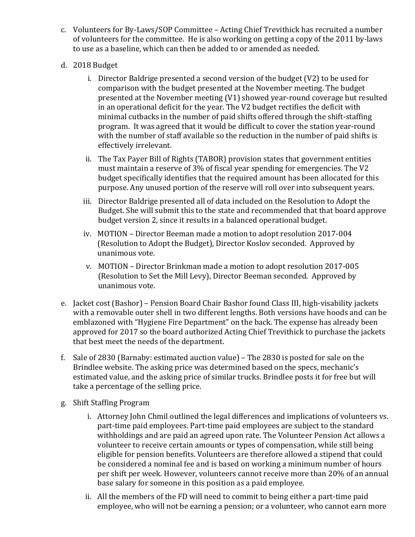- c. Volunteers for By-Laws/SOP Committee Acting Chief Trevithick has recruited a number of volunteers for the committee. He is also working on getting a copy of the 2011 by-laws to use as a baseline, which can then be added to or amended as needed.
- d. 2018 Budget
	- i. Director Baldrige presented a second version of the budget  $(V2)$  to be used for comparison with the budget presented at the November meeting. The budget presented at the November meeting (V1) showed year-round coverage but resulted in an operational deficit for the year. The V2 budget rectifies the deficit with minimal cutbacks in the number of paid shifts offered through the shift-staffing program. It was agreed that it would be difficult to cover the station year-round with the number of staff available so the reduction in the number of paid shifts is effectively irrelevant.
	- ii. The Tax Payer Bill of Rights (TABOR) provision states that government entities must maintain a reserve of  $3\%$  of fiscal year spending for emergencies. The V2 budget specifically identifies that the required amount has been allocated for this purpose. Any unused portion of the reserve will roll over into subsequent years.
	- iii. Director Baldrige presented all of data included on the Resolution to Adopt the Budget. She will submit this to the state and recommended that that board approve budget version 2, since it results in a balanced operational budget.
	- iv. MOTION Director Beeman made a motion to adopt resolution 2017-004 (Resolution to Adopt the Budget), Director Koslov seconded. Approved by unanimous vote.
	- v. MOTION Director Brinkman made a motion to adopt resolution 2017-005 (Resolution to Set the Mill Levy), Director Beeman seconded. Approved by unanimous vote.
- e. Jacket cost (Bashor) Pension Board Chair Bashor found Class III, high-visability jackets with a removable outer shell in two different lengths. Both versions have hoods and can be emblazoned with "Hygiene Fire Department" on the back. The expense has already been approved for 2017 so the board authorized Acting Chief Trevithick to purchase the jackets that best meet the needs of the department.
- f. Sale of 2830 (Barnaby: estimated auction value) The 2830 is posted for sale on the Brindlee website. The asking price was determined based on the specs, mechanic's estimated value, and the asking price of similar trucks. Brindlee posts it for free but will take a percentage of the selling price.
- g. Shift Staffing Program
	- i. Attorney John Chmil outlined the legal differences and implications of volunteers vs. part-time paid employees. Part-time paid employees are subject to the standard withholdings and are paid an agreed upon rate. The Volunteer Pension Act allows a volunteer to receive certain amounts or types of compensation, while still being eligible for pension benefits. Volunteers are therefore allowed a stipend that could be considered a nominal fee and is based on working a minimum number of hours per shift per week. However, volunteers cannot receive more than 20% of an annual base salary for someone in this position as a paid employee.
	- ii. All the members of the FD will need to commit to being either a part-time paid employee, who will not be earning a pension; or a volunteer, who cannot earn more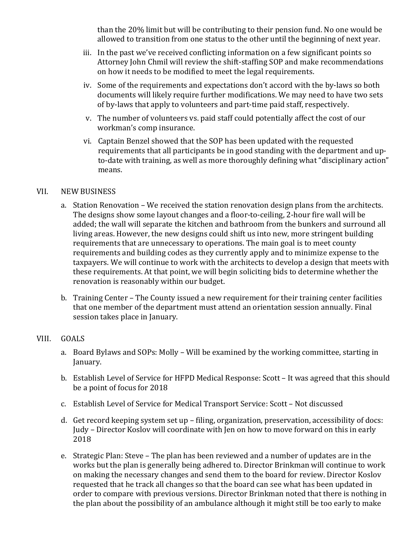than the 20% limit but will be contributing to their pension fund. No one would be allowed to transition from one status to the other until the beginning of next vear.

- iii. In the past we've received conflicting information on a few significant points so Attorney John Chmil will review the shift-staffing SOP and make recommendations on how it needs to be modified to meet the legal requirements.
- iv. Some of the requirements and expectations don't accord with the by-laws so both documents will likely require further modifications. We may need to have two sets of by-laws that apply to volunteers and part-time paid staff, respectively.
- v. The number of volunteers vs. paid staff could potentially affect the cost of our workman's comp insurance.
- vi. Captain Benzel showed that the SOP has been updated with the requested requirements that all participants be in good standing with the department and upto-date with training, as well as more thoroughly defining what "disciplinary action" means.

### VII. NEW BUSINESS

- a. Station Renovation We received the station renovation design plans from the architects. The designs show some layout changes and a floor-to-ceiling, 2-hour fire wall will be added; the wall will separate the kitchen and bathroom from the bunkers and surround all living areas. However, the new designs could shift us into new, more stringent building requirements that are unnecessary to operations. The main goal is to meet county requirements and building codes as they currently apply and to minimize expense to the taxpayers. We will continue to work with the architects to develop a design that meets with these requirements. At that point, we will begin soliciting bids to determine whether the renovation is reasonably within our budget.
- b. Training Center The County issued a new requirement for their training center facilities that one member of the department must attend an orientation session annually. Final session takes place in January.

#### VIII. GOALS

- a. Board Bylaws and SOPs: Molly Will be examined by the working committee, starting in January.
- b. Establish Level of Service for HFPD Medical Response: Scott It was agreed that this should be a point of focus for 2018
- c. Establish Level of Service for Medical Transport Service: Scott Not discussed
- d. Get record keeping system set up filing, organization, preservation, accessibility of docs: Judy - Director Koslov will coordinate with Jen on how to move forward on this in early 2018
- e. Strategic Plan: Steve The plan has been reviewed and a number of updates are in the works but the plan is generally being adhered to. Director Brinkman will continue to work on making the necessary changes and send them to the board for review. Director Koslov requested that he track all changes so that the board can see what has been updated in order to compare with previous versions. Director Brinkman noted that there is nothing in the plan about the possibility of an ambulance although it might still be too early to make